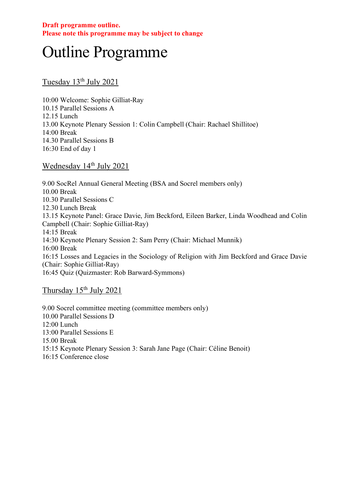# Outline Programme

Tuesday 13<sup>th</sup> July 2021

10:00 Welcome: Sophie Gilliat-Ray 10.15 Parallel Sessions A 12.15 Lunch 13.00 Keynote Plenary Session 1: Colin Campbell (Chair: Rachael Shillitoe) 14:00 Break 14.30 Parallel Sessions B 16:30 End of day 1

Wednesday 14<sup>th</sup> July 2021

9.00 SocRel Annual General Meeting (BSA and Socrel members only) 10.00 Break 10.30 Parallel Sessions C 12.30 Lunch Break 13.15 Keynote Panel: Grace Davie, Jim Beckford, Eileen Barker, Linda Woodhead and Colin Campbell (Chair: Sophie Gilliat-Ray) 14:15 Break 14:30 Keynote Plenary Session 2: Sam Perry (Chair: Michael Munnik) 16:00 Break 16:15 Losses and Legacies in the Sociology of Religion with Jim Beckford and Grace Davie (Chair: Sophie Gilliat-Ray) 16:45 Quiz (Quizmaster: Rob Barward-Symmons)

Thursday 15<sup>th</sup> July 2021

9.00 Socrel committee meeting (committee members only) 10.00 Parallel Sessions D 12:00 Lunch 13:00 Parallel Sessions E 15.00 Break 15:15 Keynote Plenary Session 3: Sarah Jane Page (Chair: Céline Benoit) 16:15 Conference close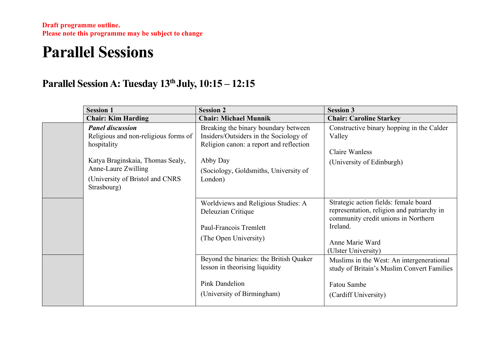## **Parallel Sessions**

### **Parallel Session A: Tuesday 13th July, 10:15 – 12:15**

| <b>Session 1</b>                                                                                                                                                                            | <b>Session 2</b>                                                                                                                                                                          | <b>Session 3</b>                                                                                                                                                                 |
|---------------------------------------------------------------------------------------------------------------------------------------------------------------------------------------------|-------------------------------------------------------------------------------------------------------------------------------------------------------------------------------------------|----------------------------------------------------------------------------------------------------------------------------------------------------------------------------------|
| <b>Chair: Kim Harding</b>                                                                                                                                                                   | <b>Chair: Michael Munnik</b>                                                                                                                                                              | <b>Chair: Caroline Starkey</b>                                                                                                                                                   |
| <b>Panel discussion</b><br>Religious and non-religious forms of<br>hospitality<br>Katya Braginskaia, Thomas Sealy,<br>Anne-Laure Zwilling<br>(University of Bristol and CNRS<br>Strasbourg) | Breaking the binary boundary between<br>Insiders/Outsiders in the Sociology of<br>Religion canon: a report and reflection<br>Abby Day<br>(Sociology, Goldsmiths, University of<br>London) | Constructive binary hopping in the Calder<br>Valley<br>Claire Wanless<br>(University of Edinburgh)                                                                               |
|                                                                                                                                                                                             | Worldviews and Religious Studies: A<br>Deleuzian Critique<br>Paul-Francois Tremlett<br>(The Open University)                                                                              | Strategic action fields: female board<br>representation, religion and patriarchy in<br>community credit unions in Northern<br>Ireland.<br>Anne Marie Ward<br>(Ulster University) |
|                                                                                                                                                                                             | Beyond the binaries: the British Quaker<br>lesson in theorising liquidity<br>Pink Dandelion<br>(University of Birmingham)                                                                 | Muslims in the West: An intergenerational<br>study of Britain's Muslim Convert Families<br>Fatou Sambe<br>(Cardiff University)                                                   |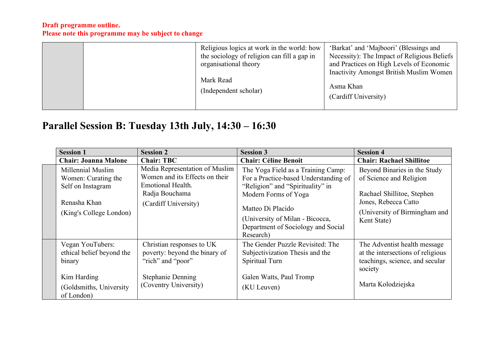| Religious logics at work in the world: how<br>the sociology of religion can fill a gap in<br>organisational theory<br>Mark Read<br>(Independent scholar) | 'Barkat' and 'Majboori' (Blessings and<br>Necessity): The Impact of Religious Beliefs<br>and Practices on High Levels of Economic<br><b>Inactivity Amongst British Muslim Women</b><br>Asma Khan<br>(Cardiff University) |
|----------------------------------------------------------------------------------------------------------------------------------------------------------|--------------------------------------------------------------------------------------------------------------------------------------------------------------------------------------------------------------------------|
|----------------------------------------------------------------------------------------------------------------------------------------------------------|--------------------------------------------------------------------------------------------------------------------------------------------------------------------------------------------------------------------------|

## **Parallel Session B: Tuesday 13th July, 14:30 – 16:30**

| <b>Session 1</b>                                                                                                 | <b>Session 2</b>                                                                                                                     | <b>Session 3</b>                                                                                                                                                                                                                                   | <b>Session 4</b>                                                                                                                                              |
|------------------------------------------------------------------------------------------------------------------|--------------------------------------------------------------------------------------------------------------------------------------|----------------------------------------------------------------------------------------------------------------------------------------------------------------------------------------------------------------------------------------------------|---------------------------------------------------------------------------------------------------------------------------------------------------------------|
| <b>Chair: Joanna Malone</b>                                                                                      | <b>Chair: TBC</b>                                                                                                                    | <b>Chair: Céline Benoit</b>                                                                                                                                                                                                                        | <b>Chair: Rachael Shillitoe</b>                                                                                                                               |
| Millennial Muslim<br>Women: Curating the<br>Self on Instagram<br>Renasha Khan<br>(King's College London)         | Media Representation of Muslim<br>Women and its Effects on their<br>Emotional Health.<br>Radja Bouchama<br>(Cardiff University)      | The Yoga Field as a Training Camp:<br>For a Practice-based Understanding of<br>"Religion" and "Spirituality" in<br>Modern Forms of Yoga<br>Matteo Di Placido<br>(University of Milan - Bicocca,<br>Department of Sociology and Social<br>Research) | Beyond Binaries in the Study<br>of Science and Religion<br>Rachael Shillitoe, Stephen<br>Jones, Rebecca Catto<br>(University of Birmingham and<br>Kent State) |
| Vegan YouTubers:<br>ethical belief beyond the<br>binary<br>Kim Harding<br>(Goldsmiths, University)<br>of London) | Christian responses to UK<br>poverty: beyond the binary of<br>"rich" and "poor"<br><b>Stephanie Denning</b><br>(Coventry University) | The Gender Puzzle Revisited: The<br>Subjectivization Thesis and the<br>Spiritual Turn<br>Galen Watts, Paul Tromp<br>(KU Leuven)                                                                                                                    | The Adventist health message<br>at the intersections of religious<br>teachings, science, and secular<br>society<br>Marta Kolodziejska                         |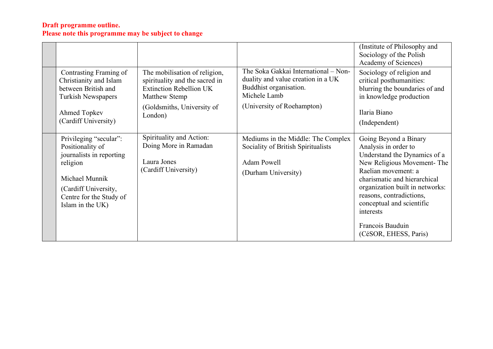|                                                                                                                                                                             |                                                                                                                                                             |                                                                                                                                                    | (Institute of Philosophy and<br>Sociology of the Polish<br>Academy of Sciences)                                                                                                                                                                                             |
|-----------------------------------------------------------------------------------------------------------------------------------------------------------------------------|-------------------------------------------------------------------------------------------------------------------------------------------------------------|----------------------------------------------------------------------------------------------------------------------------------------------------|-----------------------------------------------------------------------------------------------------------------------------------------------------------------------------------------------------------------------------------------------------------------------------|
| Contrasting Framing of<br>Christianity and Islam<br>between British and<br><b>Turkish Newspapers</b><br>Ahmed Topkev                                                        | The mobilisation of religion,<br>spirituality and the sacred in<br><b>Extinction Rebellion UK</b><br>Matthew Stemp<br>(Goldsmiths, University of<br>London) | The Soka Gakkai International - Non-<br>duality and value creation in a UK<br>Buddhist organisation.<br>Michele Lamb<br>(University of Roehampton) | Sociology of religion and<br>critical posthumanities:<br>blurring the boundaries of and<br>in knowledge production<br>Ilaria Biano                                                                                                                                          |
| (Cardiff University)                                                                                                                                                        |                                                                                                                                                             |                                                                                                                                                    | (Independent)                                                                                                                                                                                                                                                               |
| Privileging "secular":<br>Positionality of<br>journalists in reporting<br>religion<br>Michael Munnik<br>(Cardiff University,<br>Centre for the Study of<br>Islam in the UK) | Spirituality and Action:<br>Doing More in Ramadan<br>Laura Jones<br>(Cardiff University)                                                                    | Mediums in the Middle: The Complex<br>Sociality of British Spiritualists<br><b>Adam Powell</b><br>(Durham University)                              | Going Beyond a Binary<br>Analysis in order to<br>Understand the Dynamics of a<br>New Religious Movement-The<br>Raelian movement: a<br>charismatic and hierarchical<br>organization built in networks:<br>reasons, contradictions,<br>conceptual and scientific<br>interests |
|                                                                                                                                                                             |                                                                                                                                                             |                                                                                                                                                    | Francois Bauduin<br>(CéSOR, EHESS, Paris)                                                                                                                                                                                                                                   |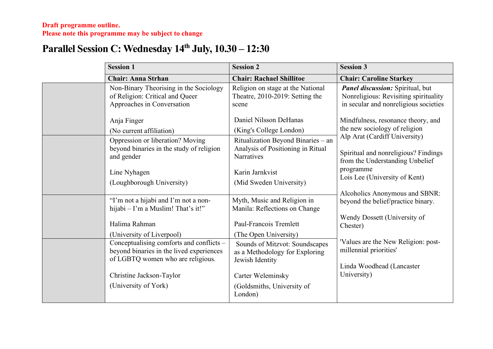## **Parallel Session C: Wednesday 14th July, 10.30 – 12:30**

| <b>Session 1</b>                                                                                                          | <b>Session 2</b>                                                                      | <b>Session 3</b>                                                                                                          |
|---------------------------------------------------------------------------------------------------------------------------|---------------------------------------------------------------------------------------|---------------------------------------------------------------------------------------------------------------------------|
| <b>Chair: Anna Strhan</b>                                                                                                 | <b>Chair: Rachael Shillitoe</b>                                                       | <b>Chair: Caroline Starkey</b>                                                                                            |
| Non-Binary Theorising in the Sociology<br>of Religion: Critical and Queer<br>Approaches in Conversation                   | Religion on stage at the National<br>Theatre, 2010-2019: Setting the<br>scene         | <b>Panel discussion:</b> Spiritual, but<br>Nonreligious: Revisiting spirituality<br>in secular and nonreligious societies |
| Anja Finger                                                                                                               | Daniel Nilsson DeHanas                                                                | Mindfulness, resonance theory, and                                                                                        |
| (No current affiliation)                                                                                                  | (King's College London)                                                               | the new sociology of religion                                                                                             |
| Oppression or liberation? Moving<br>beyond binaries in the study of religion<br>and gender                                | Ritualization Beyond Binaries - an<br>Analysis of Positioning in Ritual<br>Narratives | Alp Arat (Cardiff University)<br>Spiritual and nonreligious? Findings<br>from the Understanding Unbelief                  |
| Line Nyhagen<br>(Loughborough University)                                                                                 | Karin Jarnkvist<br>(Mid Sweden University)                                            | programme<br>Lois Lee (University of Kent)                                                                                |
| "I'm not a hijabi and I'm not a non-<br>hijabi - I'm a Muslim! That's it!"                                                | Myth, Music and Religion in<br>Manila: Reflections on Change                          | Alcoholics Anonymous and SBNR:<br>beyond the belief/practice binary.                                                      |
| Halima Rahman                                                                                                             | Paul-Francois Tremlett                                                                | Wendy Dossett (University of<br>Chester)                                                                                  |
| (University of Liverpool)                                                                                                 | (The Open University)                                                                 |                                                                                                                           |
| Conceptualising comforts and conflicts -<br>beyond binaries in the lived experiences<br>of LGBTQ women who are religious. | Sounds of Mitzvot: Soundscapes<br>as a Methodology for Exploring<br>Jewish Identity   | Values are the New Religion: post-<br>millennial priorities'<br>Linda Woodhead (Lancaster                                 |
| Christine Jackson-Taylor                                                                                                  | Carter Weleminsky                                                                     | University)                                                                                                               |
| (University of York)                                                                                                      | (Goldsmiths, University of<br>London)                                                 |                                                                                                                           |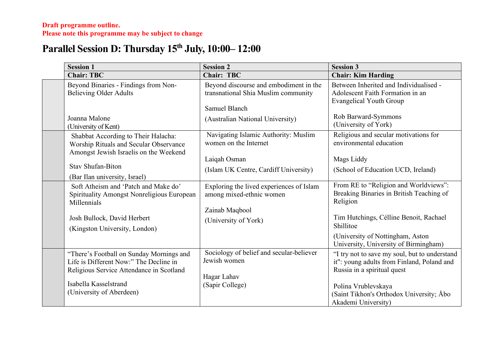## **Parallel Session D: Thursday 15th July, 10:00– 12:00**

| <b>Session 1</b>                                                                                                                                                                     | <b>Session 2</b>                                                                                                                   | <b>Session 3</b>                                                                                                                                                                                                                   |
|--------------------------------------------------------------------------------------------------------------------------------------------------------------------------------------|------------------------------------------------------------------------------------------------------------------------------------|------------------------------------------------------------------------------------------------------------------------------------------------------------------------------------------------------------------------------------|
| <b>Chair: TBC</b>                                                                                                                                                                    | <b>Chair: TBC</b>                                                                                                                  | <b>Chair: Kim Harding</b>                                                                                                                                                                                                          |
| Beyond Binaries - Findings from Non-<br><b>Believing Older Adults</b><br>Joanna Malone<br>(University of Kent)                                                                       | Beyond discourse and embodiment in the<br>transnational Shia Muslim community<br>Samuel Blanch<br>(Australian National University) | Between Inherited and Individualised -<br>Adolescent Faith Formation in an<br><b>Evangelical Youth Group</b><br>Rob Barward-Symmons<br>(University of York)                                                                        |
| Shabbat According to Their Halacha:<br>Worship Rituals and Secular Observance<br>Amongst Jewish Israelis on the Weekend<br><b>Stav Shufan-Biton</b><br>(Bar Ilan university, Israel) | Navigating Islamic Authority: Muslim<br>women on the Internet<br>Laiqah Osman<br>(Islam UK Centre, Cardiff University)             | Religious and secular motivations for<br>environmental education<br>Mags Liddy<br>(School of Education UCD, Ireland)                                                                                                               |
| Soft Atheism and 'Patch and Make do'<br>Spirituality Amongst Nonreligious European<br>Millennials<br>Josh Bullock, David Herbert<br>(Kingston University, London)                    | Exploring the lived experiences of Islam<br>among mixed-ethnic women<br>Zainab Maqbool<br>(University of York)                     | From RE to "Religion and Worldviews":<br>Breaking Binaries in British Teaching of<br>Religion<br>Tim Hutchings, Célline Benoit, Rachael<br>Shillitoe<br>(University of Nottingham, Aston)<br>University, University of Birmingham) |
| "There's Football on Sunday Mornings and<br>Life is Different Now:" The Decline in<br>Religious Service Attendance in Scotland<br>Isabella Kasselstrand<br>(University of Aberdeen)  | Sociology of belief and secular-believer<br>Jewish women<br>Hagar Lahav<br>(Sapir College)                                         | "I try not to save my soul, but to understand<br>it": young adults from Finland, Poland and<br>Russia in a spiritual quest<br>Polina Vrublevskaya<br>(Saint Tikhon's Orthodox University; Åbo<br>Akademi University)               |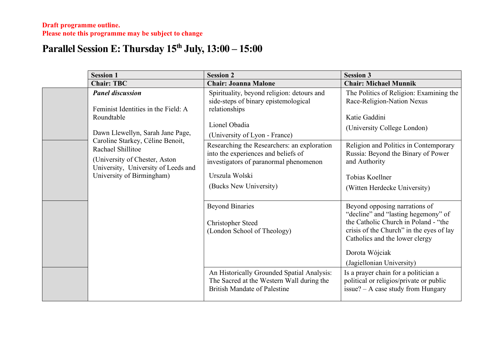### **Parallel Session E: Thursday 15th July, 13:00 – 15:00**

| <b>Session 1</b>                                                                                                                                            | <b>Session 2</b>                                                                                                                                                         | <b>Session 3</b>                                                                                                                                                                                                                          |
|-------------------------------------------------------------------------------------------------------------------------------------------------------------|--------------------------------------------------------------------------------------------------------------------------------------------------------------------------|-------------------------------------------------------------------------------------------------------------------------------------------------------------------------------------------------------------------------------------------|
| <b>Chair: TBC</b>                                                                                                                                           | <b>Chair: Joanna Malone</b>                                                                                                                                              | <b>Chair: Michael Munnik</b>                                                                                                                                                                                                              |
| <b>Panel discussion</b><br>Feminist Identities in the Field: A                                                                                              | Spirituality, beyond religion: detours and<br>side-steps of binary epistemological<br>relationships                                                                      | The Politics of Religion: Examining the<br>Race-Religion-Nation Nexus                                                                                                                                                                     |
| Roundtable<br>Dawn Llewellyn, Sarah Jane Page,                                                                                                              | Lionel Obadia<br>(University of Lyon - France)                                                                                                                           | Katie Gaddini<br>(University College London)                                                                                                                                                                                              |
| Caroline Starkey, Céline Benoit,<br>Rachael Shillitoe<br>(University of Chester, Aston)<br>University, University of Leeds and<br>University of Birmingham) | Researching the Researchers: an exploration<br>into the experiences and beliefs of<br>investigators of paranormal phenomenon<br>Urszula Wolski<br>(Bucks New University) | Religion and Politics in Contemporary<br>Russia: Beyond the Binary of Power<br>and Authority<br><b>Tobias Koellner</b><br>(Witten Herdecke University)                                                                                    |
|                                                                                                                                                             | <b>Beyond Binaries</b><br><b>Christopher Steed</b><br>(London School of Theology)                                                                                        | Beyond opposing narrations of<br>"decline" and "lasting hegemony" of<br>the Catholic Church in Poland - "the<br>crisis of the Church" in the eyes of lay<br>Catholics and the lower clergy<br>Dorota Wójciak<br>(Jagiellonian University) |
|                                                                                                                                                             | An Historically Grounded Spatial Analysis:<br>The Sacred at the Western Wall during the<br><b>British Mandate of Palestine</b>                                           | Is a prayer chain for a politician a<br>political or religios/private or public<br>$issue? - A case study from Hungary$                                                                                                                   |